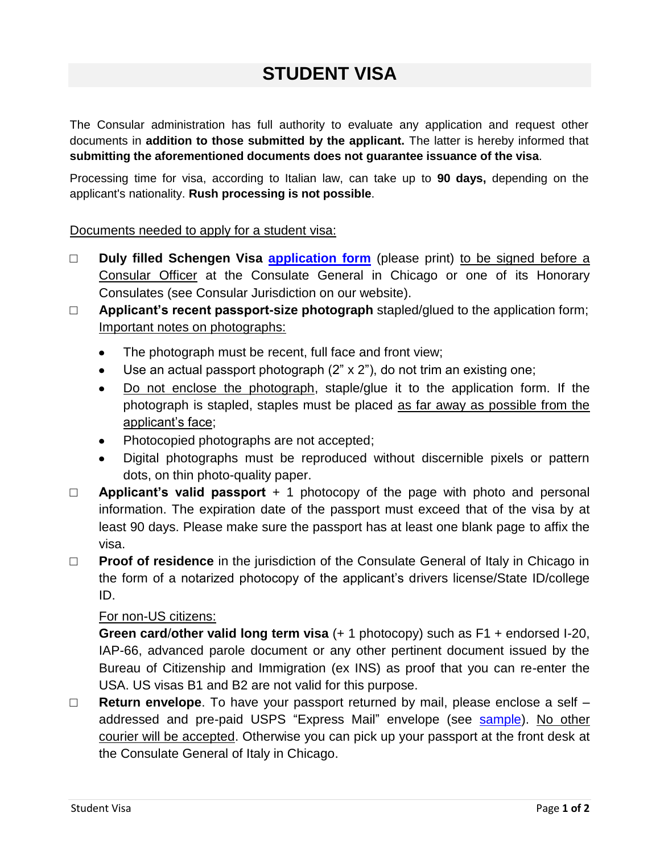# **STUDENT VISA**

The Consular administration has full authority to evaluate any application and request other documents in **addition to those submitted by the applicant.** The latter is hereby informed that **submitting the aforementioned documents does not guarantee issuance of the visa**.

Processing time for visa, according to Italian law, can take up to **90 days,** depending on the applicant's nationality. **Rush processing is not possible**.

#### Documents needed to apply for a student visa:

- □ **Duly filled Schengen Visa [application form](http://www.conschicago.esteri.it/NR/rdonlyres/1B11AA4A-97A3-4507-AF38-F882B0FDB3A0/0/blvisa_en.pdf)** (please print) to be signed before a Consular Officer at the Consulate General in Chicago or one of its Honorary Consulates (see Consular Jurisdiction on our website).
- □ **Applicant's recent passport-size photograph** stapled/glued to the application form; Important notes on photographs:
	- The photograph must be recent, full face and front view;  $\bullet$
	- Use an actual passport photograph (2" x 2"), do not trim an existing one;  $\bullet$
	- Do not enclose the photograph, staple/glue it to the application form. If the photograph is stapled, staples must be placed as far away as possible from the applicant's face;
	- Photocopied photographs are not accepted;  $\bullet$
	- Digital photographs must be reproduced without discernible pixels or pattern dots, on thin photo-quality paper.
- □ **Applicant's valid passport** + 1 photocopy of the page with photo and personal information. The expiration date of the passport must exceed that of the visa by at least 90 days. Please make sure the passport has at least one blank page to affix the visa.
- □ **Proof of residence** in the jurisdiction of the Consulate General of Italy in Chicago in the form of a notarized photocopy of the applicant's drivers license/State ID/college ID.

#### For non-US citizens:

**Green card**/**other valid long term visa** (+ 1 photocopy) such as F1 + endorsed I-20, IAP-66, advanced parole document or any other pertinent document issued by the Bureau of Citizenship and Immigration (ex INS) as proof that you can re-enter the USA. US visas B1 and B2 are not valid for this purpose.

□ **Return envelope**. To have your passport returned by mail, please enclose a self – addressed and pre-paid USPS "Express Mail" envelope (see [sample\)](http://www.conschicago.esteri.it/NR/rdonlyres/A9075201-5DC7-4ED1-AC34-8BDC41E38755/0/VISA_Foto_Busta.JPG). No other courier will be accepted. Otherwise you can pick up your passport at the front desk at the Consulate General of Italy in Chicago.